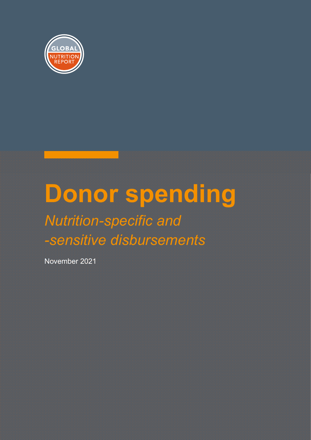

## **Donor spending** *Nutrition-specific and -sensitive disbursements*

November 2021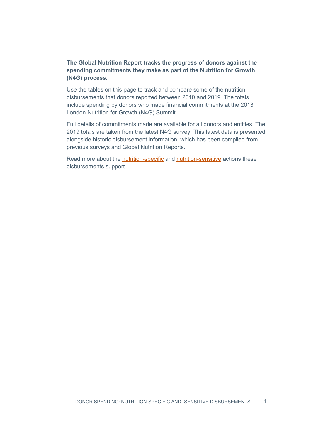## **The Global Nutrition Report tracks the progress of donors against the spending commitments they make as part of the Nutrition for Growth (N4G) process.**

Use the tables on this page to track and compare some of the nutrition disbursements that donors reported between 2010 and 2019. The totals include spending by donors who made financial commitments at the 2013 London Nutrition for Growth (N4G) Summit.

Full details of commitments made are available for all donors and entities. The 2019 totals are taken from the latest N4G survey. This latest data is presented alongside historic disbursement information, which has been compiled from previous surveys and Global Nutrition Reports.

Read more about the [nutrition-specific](https://globalnutritionreport.org/56d333#2239d5f5-nutrition-specific-actions) and [nutrition-sensitive](https://globalnutritionreport.org/56d333#2239d5f5-nutrition-sensitive-actions) actions these disbursements support.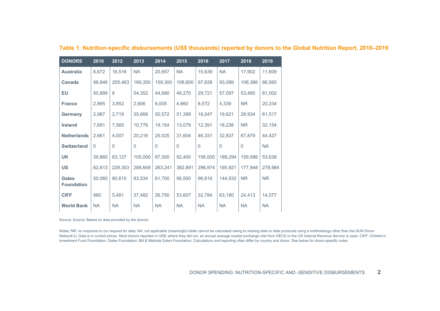| <b>DONORS</b>                     | 2010        | 2012      | 2013      | 2014      | 2015        | 2016      | 2017         | 2018      | 2019      |
|-----------------------------------|-------------|-----------|-----------|-----------|-------------|-----------|--------------|-----------|-----------|
| <b>Australia</b>                  | 6,672       | 16,516    | <b>NA</b> | 20,857    | <b>NA</b>   | 15,639    | <b>NA</b>    | 17,902    | 11,609    |
| Canada                            | 98,846      | 205,463   | 169,350   | 159,300   | 108,600     | 97,628    | 93,099       | 106,386   | 66,560    |
| EU                                | 50,889      | 8         | 54,352    | 44,680    | 48,270      | 29,721    | 57,097       | 53,480    | 81,002    |
| <b>France</b>                     | 2,895       | 3,852     | 2,606     | 6,005     | 4,660       | 8,572     | 4,339        | <b>NR</b> | 20,334    |
| Germany                           | 2,987       | 2,719     | 35,666    | 50,572    | 51,399      | 18,047    | 19,621       | 28,934    | 61,517    |
| <b>Ireland</b>                    | 7,691       | 7,565     | 10,776    | 19,154    | 13,079      | 12,391    | 18,238       | <b>NR</b> | 32,154    |
| <b>Netherlands</b>                | 2,661       | 4,007     | 20,216    | 25,025    | 31,604      | 46,331    | 32,837       | 67,879    | 44,427    |
| <b>Switzerland</b>                | $\mathbf 0$ | $\Omega$  | $\Omega$  | 0         | $\mathbf 0$ | $\Omega$  | $\mathbf{0}$ | $\Omega$  | <b>NA</b> |
| <b>UK</b>                         | 39,860      | 63,127    | 105,000   | 87,000    | 92,400      | 156,000   | 188,294      | 159,586   | 53,638    |
| <b>US</b>                         | 82,613      | 229,353   | 288,649   | 263,241   | 382,891     | 296,974   | 195,921      | 177,948   | 278,984   |
| <b>Gates</b><br><b>Foundation</b> | 50,060      | 80,610    | 83,534    | 61,700    | 96,500      | 96,616    | 144,532      | <b>NR</b> | <b>NR</b> |
| <b>CIFF</b>                       | 980         | 5,481     | 37,482    | 26,750    | 53,607      | 32,784    | 63,180       | 24,413    | 14,577    |
| <b>World Bank</b>                 | <b>NA</b>   | <b>NA</b> | <b>NA</b> | <b>NA</b> | <b>NA</b>   | <b>NA</b> | <b>NA</b>    | <b>NA</b> | <b>NA</b> |

**Table 1: Nutrition-specific disbursements (US\$ thousands) reported by donors to the Global Nutrition Report, 2010–2019**

Source: Source: Based on data provided by the donors.

Notes: NR: no response to our request for data; NA: not applicable (meaningful totals cannot be calculated owing to missing data or data produced using a methodology other than the SUN Donor Network's). Data is in current prices. Most donors reported in US\$; where they did not, an annual average market exchange rate from OECD or the US Internal Revenue Service is used. CIFF: Children's Investment Fund Foundation; Gates Foundation: Bill & Melinda Gates Foundation; Calculations and reporting often differ by country and donor. See below for donor-specific notes.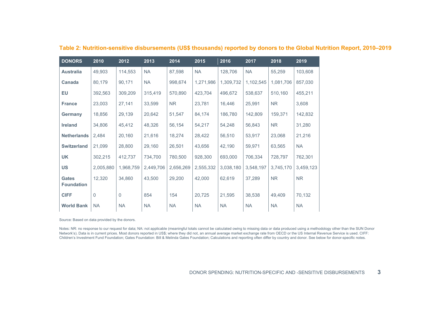| <b>DONORS</b>                     | 2010      | 2012         | 2013      | 2014      | 2015      | 2016      | 2017      | 2018      | 2019      |
|-----------------------------------|-----------|--------------|-----------|-----------|-----------|-----------|-----------|-----------|-----------|
| <b>Australia</b>                  | 49,903    | 114,553      | <b>NA</b> | 87,598    | <b>NA</b> | 128,706   | <b>NA</b> | 55,259    | 103,608   |
| Canada                            | 80,179    | 90,171       | <b>NA</b> | 998,674   | 1,271,986 | 1,309,732 | 1,102,545 | 1,081,706 | 857,030   |
| <b>EU</b>                         | 392,563   | 309,209      | 315,419   | 570,890   | 423,704   | 496,672   | 538,637   | 510,160   | 455,211   |
| <b>France</b>                     | 23,003    | 27,141       | 33,599    | NR.       | 23,781    | 16,446    | 25,991    | NR.       | 3,608     |
| Germany                           | 18,856    | 29,139       | 20,642    | 51,547    | 84,174    | 186,780   | 142,809   | 159,371   | 142,832   |
| <b>Ireland</b>                    | 34,806    | 45,412       | 48,326    | 56,154    | 54,217    | 54,248    | 56,843    | NR.       | 31,280    |
| <b>Netherlands</b>                | 2,484     | 20,160       | 21,616    | 18,274    | 28,422    | 56,510    | 53,917    | 23,068    | 21,216    |
| <b>Switzerland</b>                | 21,099    | 28,800       | 29,160    | 26,501    | 43,656    | 42,190    | 59,971    | 63,565    | <b>NA</b> |
| <b>UK</b>                         | 302,215   | 412,737      | 734,700   | 780,500   | 928,300   | 693,000   | 706,334   | 728,797   | 762,301   |
| <b>US</b>                         | 2,005,880 | 1,968,759    | 2,449,706 | 2,656,269 | 2,555,332 | 3,038,180 | 3,548,197 | 3,745,170 | 3,459,123 |
| <b>Gates</b><br><b>Foundation</b> | 12,320    | 34,860       | 43,500    | 29,200    | 42,000    | 62,619    | 37,289    | <b>NR</b> | <b>NR</b> |
| <b>CIFF</b>                       | $\Omega$  | $\mathbf{0}$ | 854       | 154       | 20,725    | 21,595    | 38,538    | 49,409    | 70,132    |
| <b>World Bank</b>                 | <b>NA</b> | <b>NA</b>    | <b>NA</b> | <b>NA</b> | <b>NA</b> | <b>NA</b> | <b>NA</b> | <b>NA</b> | <b>NA</b> |

## **Table 2: Nutrition-sensitive disbursements (US\$ thousands) reported by donors to the Global Nutrition Report, 2010–2019**

Source: Based on data provided by the donors.

Notes: NR: no response to our request for data; NA: not applicable (meaningful totals cannot be calculated owing to missing data or data produced using a methodology other than the SUN Donor Network's). Data is in current prices. Most donors reported in US\$; where they did not, an annual average market exchange rate from OECD or the US Internal Revenue Service is used. CIFF: Children's Investment Fund Foundation; Gates Foundation: Bill & Melinda Gates Foundation; Calculations and reporting often differ by country and donor. See below for donor-specific notes.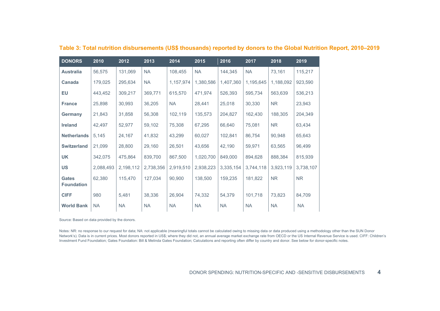| <b>DONORS</b>                     | 2010      | 2012      | 2013      | 2014      | 2015      | 2016      | 2017      | 2018      | 2019      |
|-----------------------------------|-----------|-----------|-----------|-----------|-----------|-----------|-----------|-----------|-----------|
| <b>Australia</b>                  | 56,575    | 131,069   | <b>NA</b> | 108,455   | <b>NA</b> | 144,345   | <b>NA</b> | 73,161    | 115,217   |
| Canada                            | 179,025   | 295,634   | <b>NA</b> | 1,157,974 | 1,380,586 | 1,407,360 | 1,195,645 | 1,188,092 | 923,590   |
| <b>EU</b>                         | 443,452   | 309,217   | 369,771   | 615,570   | 471,974   | 526,393   | 595,734   | 563,639   | 536,213   |
| <b>France</b>                     | 25,898    | 30,993    | 36,205    | <b>NA</b> | 28,441    | 25,018    | 30,330    | NR.       | 23,943    |
| Germany                           | 21,843    | 31,858    | 56,308    | 102,119   | 135,573   | 204,827   | 162,430   | 188,305   | 204,349   |
| <b>Ireland</b>                    | 42,497    | 52,977    | 59,102    | 75,308    | 67,295    | 66,640    | 75,081    | <b>NR</b> | 63,434    |
| <b>Netherlands</b>                | 5,145     | 24,167    | 41,832    | 43,299    | 60,027    | 102,841   | 86,754    | 90,948    | 65,643    |
| <b>Switzerland</b>                | 21,099    | 28,800    | 29,160    | 26,501    | 43,656    | 42,190    | 59,971    | 63,565    | 96,499    |
| <b>UK</b>                         | 342,075   | 475,864   | 839,700   | 867,500   | 1,020,700 | 849,000   | 894,628   | 888,384   | 815,939   |
| <b>US</b>                         | 2,088,493 | 2,198,112 | 2,738,356 | 2,919,510 | 2,938,223 | 3,335,154 | 3,744,118 | 3,923,119 | 3,738,107 |
| <b>Gates</b><br><b>Foundation</b> | 62,380    | 115,470   | 127,034   | 90,900    | 138,500   | 159,235   | 181,822   | <b>NR</b> | <b>NR</b> |
| <b>CIFF</b>                       | 980       | 5,481     | 38,336    | 26,904    | 74,332    | 54,379    | 101,718   | 73,823    | 84,709    |
| <b>World Bank</b>                 | <b>NA</b> | <b>NA</b> | <b>NA</b> | <b>NA</b> | <b>NA</b> | <b>NA</b> | <b>NA</b> | <b>NA</b> | <b>NA</b> |

**Table 3: Total nutrition disbursements (US\$ thousands) reported by donors to the Global Nutrition Report, 2010–2019**

Source: Based on data provided by the donors.

Notes: NR: no response to our request for data; NA: not applicable (meaningful totals cannot be calculated owing to missing data or data produced using a methodology other than the SUN Donor Network's). Data is in current prices. Most donors reported in US\$; where they did not, an annual average market exchange rate from OECD or the US Internal Revenue Service is used. CIFF: Children's Investment Fund Foundation; Gates Foundation: Bill & Melinda Gates Foundation; Calculations and reporting often differ by country and donor. See below for donor-specific notes.

DONOR SPENDING: NUTRITION-SPECIFIC AND -SENSITIVE DISBURSEMENTS **4**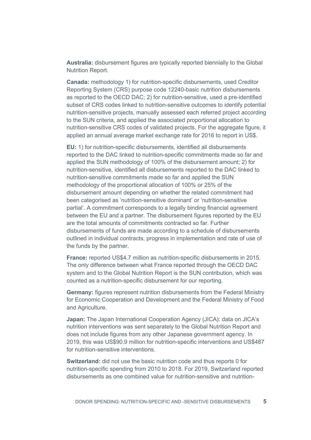**Australia:** disbursement figures are typically reported biennially to the Global Nutrition Report.

**Canada:** methodology 1) for nutrition-specific disbursements, used Creditor Reporting System (CRS) purpose code 12240-basic nutrition disbursements as reported to the OECD DAC; 2) for nutrition-sensitive, used a pre-identified subset of CRS codes linked to nutrition-sensitive outcomes to identify potential nutrition-sensitive projects, manually assessed each referred project according to the SUN criteria, and applied the associated proportional allocation to nutrition-sensitive CRS codes of validated projects. For the aggregate figure, it applied an annual average market exchange rate for 2016 to report in US\$.

**EU:** 1) for nutrition-specific disbursements, identified all disbursements reported to the DAC linked to nutrition-specific commitments made so far and applied the SUN methodology of 100% of the disbursement amount; 2) for nutrition-sensitive, identified all disbursements reported to the DAC linked to nutrition-sensitive commitments made so far and applied the SUN methodology of the proportional allocation of 100% or 25% of the disbursement amount depending on whether the related commitment had been categorised as 'nutrition-sensitive dominant' or 'nutrition-sensitive partial'. A commitment corresponds to a legally binding financial agreement between the EU and a partner. The disbursement figures reported by the EU are the total amounts of commitments contracted so far. Further disbursements of funds are made according to a schedule of disbursements outlined in individual contracts, progress in implementation and rate of use of the funds by the partner.

**France:** reported US\$4.7 million as nutrition-specific disbursements in 2015. The only difference between what France reported through the OECD DAC system and to the Global Nutrition Report is the SUN contribution, which was counted as a nutrition-specific disbursement for our reporting.

**Germany:** figures represent nutrition disbursements from the Federal Ministry for Economic Cooperation and Development and the Federal Ministry of Food and Agriculture.

**Japan:** The Japan International Cooperation Agency (JICA): data on JICA's nutrition interventions was sent separately to the Global Nutrition Report and does not include figures from any other Japanese government agency. In 2019, this was US\$90.9 million for nutrition-specific interventions and US\$487 for nutrition-sensitive interventions.

**Switzerland:** did not use the basic nutrition code and thus reports 0 for nutrition-specific spending from 2010 to 2018. For 2019, Switzerland reported disbursements as one combined value for nutrition-sensitive and nutrition